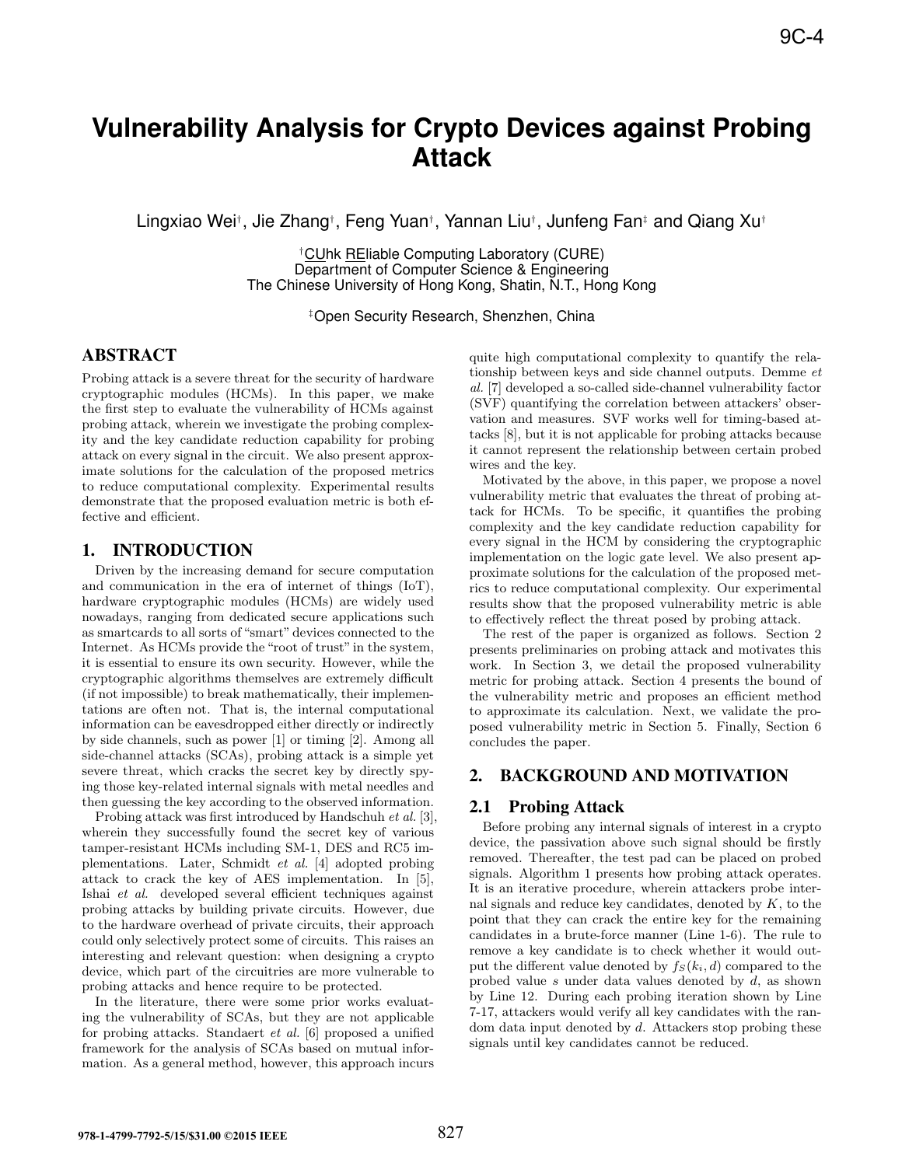# **Vulnerability Analysis for Crypto Devices against Probing Attack**

Lingxiao Wei†, Jie Zhang†, Feng Yuan†, Yannan Liu†, Junfeng Fan‡ and Qiang Xu†

†CUhk REliable Computing Laboratory (CURE) Department of Computer Science & Engineering The Chinese University of Hong Kong, Shatin, N.T., Hong Kong

‡Open Security Research, Shenzhen, China

# ABSTRACT

Probing attack is a severe threat for the security of hardware cryptographic modules (HCMs). In this paper, we make the first step to evaluate the vulnerability of HCMs against probing attack, wherein we investigate the probing complexity and the key candidate reduction capability for probing attack on every signal in the circuit. We also present approximate solutions for the calculation of the proposed metrics to reduce computational complexity. Experimental results demonstrate that the proposed evaluation metric is both effective and efficient.

## 1. INTRODUCTION

Driven by the increasing demand for secure computation and communication in the era of internet of things (IoT), hardware cryptographic modules (HCMs) are widely used nowadays, ranging from dedicated secure applications such as smartcards to all sorts of "smart" devices connected to the Internet. As HCMs provide the "root of trust" in the system, it is essential to ensure its own security. However, while the cryptographic algorithms themselves are extremely difficult (if not impossible) to break mathematically, their implementations are often not. That is, the internal computational information can be eavesdropped either directly or indirectly by side channels, such as power [1] or timing [2]. Among all side-channel attacks (SCAs), probing attack is a simple yet severe threat, which cracks the secret key by directly spying those key-related internal signals with metal needles and then guessing the key according to the observed information. **98-4<br>
<b>978-1-479-1-479-1-479-1-479-1-479-1-479-1-479-1-479-1-479-1-479-1-479-1-479-1-479-1-479-1-479-1-479-1-479-1-479-1-479-1-479-1-479-1-479-1-479-1-479-1-479-1-479-1-479-1-479-1-479-1-479-1-479-1-479-1-479-1-479-1-479** 

Probing attack was first introduced by Handschuh et al. [3], wherein they successfully found the secret key of various tamper-resistant HCMs including SM-1, DES and RC5 implementations. Later, Schmidt et al. [4] adopted probing attack to crack the key of AES implementation. In [5], Ishai et al. developed several efficient techniques against probing attacks by building private circuits. However, due to the hardware overhead of private circuits, their approach could only selectively protect some of circuits. This raises an interesting and relevant question: when designing a crypto device, which part of the circuitries are more vulnerable to probing attacks and hence require to be protected.

In the literature, there were some prior works evaluating the vulnerability of SCAs, but they are not applicable for probing attacks. Standaert et al. [6] proposed a unified framework for the analysis of SCAs based on mutual information. As a general method, however, this approach incurs quite high computational complexity to quantify the relationship between keys and side channel outputs. Demme et al. [7] developed a so-called side-channel vulnerability factor (SVF) quantifying the correlation between attackers' observation and measures. SVF works well for timing-based attacks [8], but it is not applicable for probing attacks because it cannot represent the relationship between certain probed wires and the key.

Motivated by the above, in this paper, we propose a novel vulnerability metric that evaluates the threat of probing attack for HCMs. To be specific, it quantifies the probing complexity and the key candidate reduction capability for every signal in the HCM by considering the cryptographic implementation on the logic gate level. We also present approximate solutions for the calculation of the proposed metrics to reduce computational complexity. Our experimental results show that the proposed vulnerability metric is able to effectively reflect the threat posed by probing attack.

The rest of the paper is organized as follows. Section 2 presents preliminaries on probing attack and motivates this work. In Section 3, we detail the proposed vulnerability metric for probing attack. Section 4 presents the bound of the vulnerability metric and proposes an efficient method to approximate its calculation. Next, we validate the proposed vulnerability metric in Section 5. Finally, Section 6 concludes the paper.

# 2. BACKGROUND AND MOTIVATION

## 2.1 Probing Attack

Before probing any internal signals of interest in a crypto device, the passivation above such signal should be firstly removed. Thereafter, the test pad can be placed on probed signals. Algorithm 1 presents how probing attack operates. It is an iterative procedure, wherein attackers probe internal signals and reduce key candidates, denoted by  $K$ , to the point that they can crack the entire key for the remaining candidates in a brute-force manner (Line 1-6). The rule to remove a key candidate is to check whether it would output the different value denoted by  $f_S(k_i, d)$  compared to the probed value s under data values denoted by d, as shown by Line 12. During each probing iteration shown by Line 7-17, attackers would verify all key candidates with the random data input denoted by d. Attackers stop probing these signals until key candidates cannot be reduced.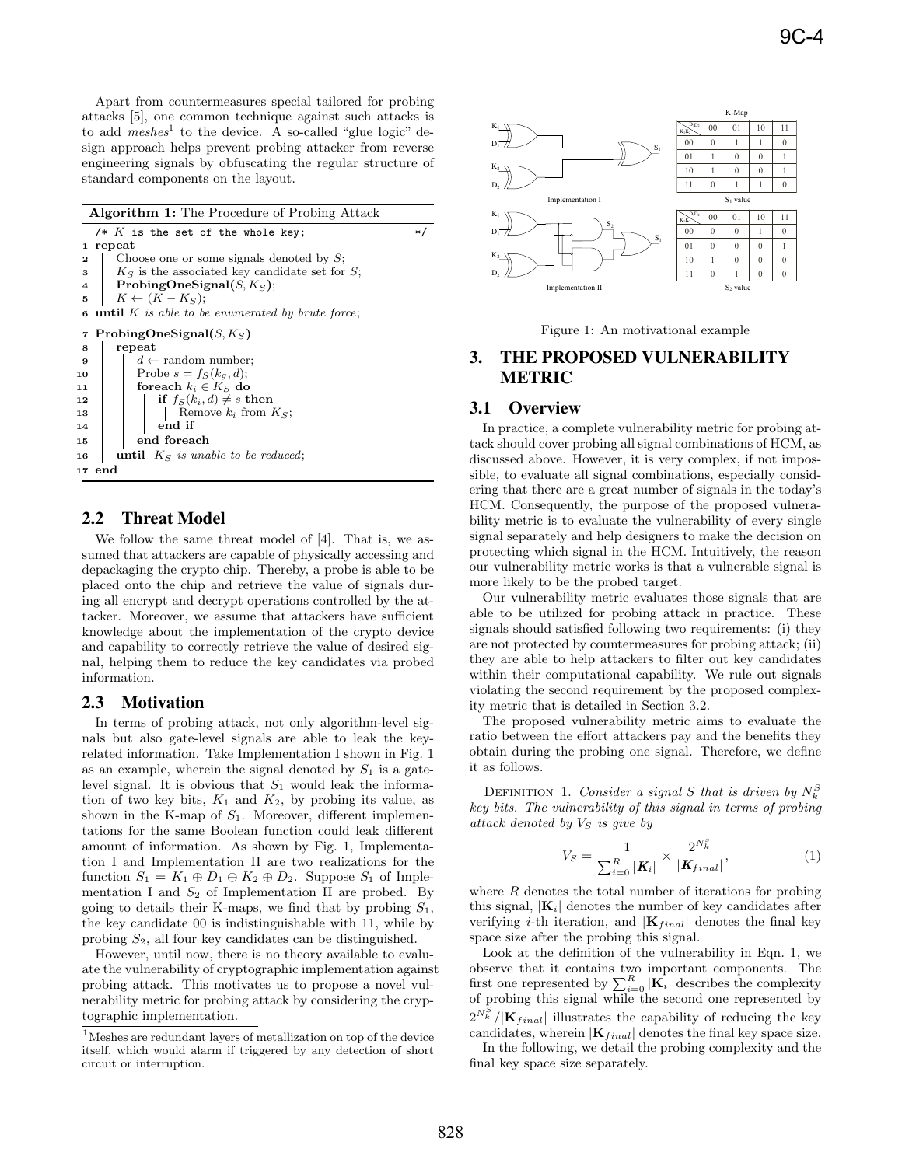Apart from countermeasures special tailored for probing attacks [5], one common technique against such attacks is to add  $meshes<sup>1</sup>$  to the device. A so-called "glue logic" design approach helps prevent probing attacker from reverse engineering signals by obfuscating the regular structure of standard components on the layout.

**Algorithm 1:** The Procedure of Probing Attack /\*  $K$  is the set of the whole key;  $*$ / **<sup>1</sup> repeat 2** Choose one or some signals denoted by S; **3**  $K<sub>S</sub>$  is the associated key candidate set for S; **4 ProbingOneSignal** $(S, K_S)$ ; **5**  $K \leftarrow (K - K_S);$  $\bullet$  **until** K is able to be enumerated by brute force; **7 ProbingOneSignal** $(S, K_S)$ **<sup>8</sup> repeat 9** d ← random number;<br>**10** Probe  $s = f_S(k_q, d);$ Probe  $s = f_S(k_g, d);$ **11 for each**  $k_i \in K_S$  **do**<br>**12 f f**  $f_S(k_i, d) \neq s$  **t 12 if**  $f_S(k_i, d) \neq s$  **then**<br>**13 i i Remove**  $k_i$  from **13**  $\parallel$  Remove  $k_i$  from  $K_S$ ;<br>**14**  $\parallel$  **end if <sup>14</sup> end if <sup>15</sup> end foreach 16 until**  $K_S$  is unable to be reduced; **<sup>17</sup> end**

## 2.2 Threat Model

We follow the same threat model of [4]. That is, we assumed that attackers are capable of physically accessing and depackaging the crypto chip. Thereby, a probe is able to be placed onto the chip and retrieve the value of signals during all encrypt and decrypt operations controlled by the attacker. Moreover, we assume that attackers have sufficient knowledge about the implementation of the crypto device and capability to correctly retrieve the value of desired signal, helping them to reduce the key candidates via probed information.

#### 2.3 Motivation

In terms of probing attack, not only algorithm-level signals but also gate-level signals are able to leak the keyrelated information. Take Implementation I shown in Fig. 1 as an example, wherein the signal denoted by  $S_1$  is a gatelevel signal. It is obvious that  $S_1$  would leak the information of two key bits,  $K_1$  and  $K_2$ , by probing its value, as shown in the K-map of  $S_1$ . Moreover, different implementations for the same Boolean function could leak different amount of information. As shown by Fig. 1, Implementation I and Implementation II are two realizations for the function  $S_1 = K_1 \oplus D_1 \oplus K_2 \oplus D_2$ . Suppose  $S_1$  of Implementation I and  $S_2$  of Implementation II are probed. By going to details their K-maps, we find that by probing  $S_1$ , the key candidate 00 is indistinguishable with 11, while by probing  $S_2$ , all four key candidates can be distinguished.

However, until now, there is no theory available to evaluate the vulnerability of cryptographic implementation against probing attack. This motivates us to propose a novel vulnerability metric for probing attack by considering the cryptographic implementation.



Figure 1: An motivational example

# 3. THE PROPOSED VULNERABILITY METRIC

## 3.1 Overview

In practice, a complete vulnerability metric for probing attack should cover probing all signal combinations of HCM, as discussed above. However, it is very complex, if not impossible, to evaluate all signal combinations, especially considering that there are a great number of signals in the today's HCM. Consequently, the purpose of the proposed vulnerability metric is to evaluate the vulnerability of every single signal separately and help designers to make the decision on protecting which signal in the HCM. Intuitively, the reason our vulnerability metric works is that a vulnerable signal is more likely to be the probed target.

Our vulnerability metric evaluates those signals that are able to be utilized for probing attack in practice. These signals should satisfied following two requirements: (i) they are not protected by countermeasures for probing attack; (ii) they are able to help attackers to filter out key candidates within their computational capability. We rule out signals violating the second requirement by the proposed complexity metric that is detailed in Section 3.2.

The proposed vulnerability metric aims to evaluate the ratio between the effort attackers pay and the benefits they obtain during the probing one signal. Therefore, we define it as follows.

DEFINITION 1. Consider a signal S that is driven by  $N_k^S$ key bits. The vulnerability of this signal in terms of probing attack denoted by  $V<sub>S</sub>$  is give by

$$
V_S = \frac{1}{\sum_{i=0}^{R} |\mathbf{K}_i|} \times \frac{2^{N_s^s}}{|\mathbf{K}_{final}|},
$$
(1)

where  $R$  denotes the total number of iterations for probing this signal,  $|\mathbf{K}_i|$  denotes the number of key candidates after verifying *i*-th iteration, and  $|\mathbf{K}_{final}|$  denotes the final key space size after the probing this signal.

Look at the definition of the vulnerability in Eqn. 1, we observe that it contains two important components. The first one represented by  $\sum_{i=0}^{R} |\mathbf{K}_i|$  describes the complexity of probing this signal while the second one represented by of probing this signal while the second one represented by  $2^{N_S^S}/|\mathbf{K}_{final}|$  illustrates the capability of reducing the key<br>candidates wherein  $|\mathbf{K}_{i,j}|$  denotes the final key space size candidates, wherein  $|\mathbf{K}_{final}|$  denotes the final key space size.

In the following, we detail the probing complexity and the final key space size separately.

 $^{\rm 1}$  Meshes are redundant layers of metallization on top of the device itself, which would alarm if triggered by any detection of short circuit or interruption.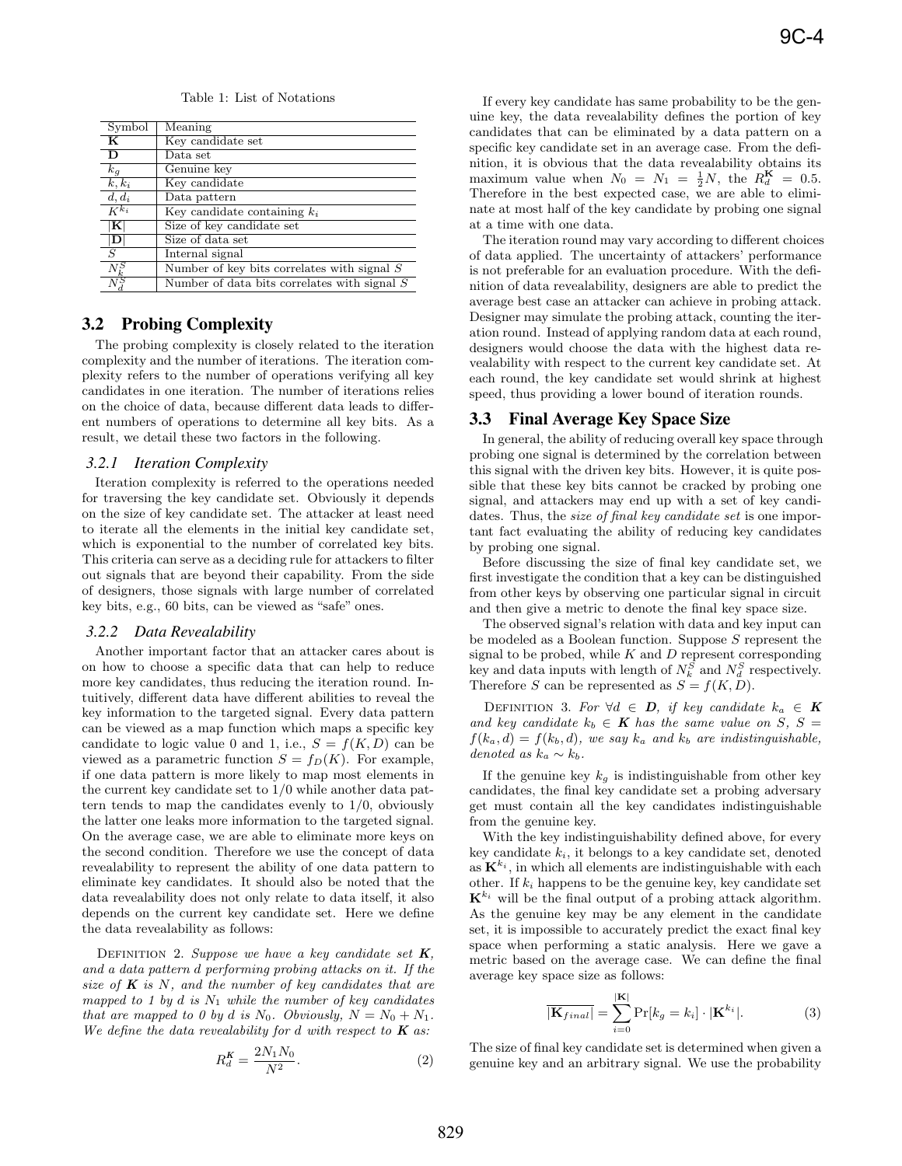Table 1: List of Notations

| Symbol         | Meaning                                       |
|----------------|-----------------------------------------------|
| K              | Key candidate set                             |
| D              | Data set                                      |
| $k_q$          | Genuine key                                   |
| $k, k_i$       | Key candidate                                 |
| $d, d_i$       | Data pattern                                  |
| $K^{k_i}$      | Key candidate containing $k_i$                |
| $ \mathbf{K} $ | Size of key candidate set                     |
| D              | Size of data set                              |
| $\overline{S}$ | Internal signal                               |
| $N^S_k$        | Number of key bits correlates with signal $S$ |
|                | Number of data bits correlates with signal S  |

# 3.2 Probing Complexity

The probing complexity is closely related to the iteration complexity and the number of iterations. The iteration complexity refers to the number of operations verifying all key candidates in one iteration. The number of iterations relies on the choice of data, because different data leads to different numbers of operations to determine all key bits. As a result, we detail these two factors in the following.

#### *3.2.1 Iteration Complexity*

Iteration complexity is referred to the operations needed for traversing the key candidate set. Obviously it depends on the size of key candidate set. The attacker at least need to iterate all the elements in the initial key candidate set, which is exponential to the number of correlated key bits. This criteria can serve as a deciding rule for attackers to filter out signals that are beyond their capability. From the side of designers, those signals with large number of correlated key bits, e.g., 60 bits, can be viewed as "safe" ones.

#### *3.2.2 Data Revealability*

Another important factor that an attacker cares about is on how to choose a specific data that can help to reduce more key candidates, thus reducing the iteration round. Intuitively, different data have different abilities to reveal the key information to the targeted signal. Every data pattern can be viewed as a map function which maps a specific key candidate to logic value 0 and 1, i.e.,  $S = f(K, D)$  can be viewed as a parametric function  $S = f_D(K)$ . For example, if one data pattern is more likely to map most elements in the current key candidate set to 1/0 while another data pattern tends to map the candidates evenly to 1/0, obviously the latter one leaks more information to the targeted signal. On the average case, we are able to eliminate more keys on the second condition. Therefore we use the concept of data revealability to represent the ability of one data pattern to eliminate key candidates. It should also be noted that the data revealability does not only relate to data itself, it also depends on the current key candidate set. Here we define the data revealability as follows:

DEFINITION 2. Suppose we have a key candidate set  $K$ , and a data pattern d performing probing attacks on it. If the size of  $K$  is  $N$ , and the number of key candidates that are mapped to 1 by d is  $N_1$  while the number of key candidates that are mapped to 0 by d is N<sub>0</sub>. Obviously,  $N = N_0 + N_1$ . We define the data revealability for  $d$  with respect to  $K$  as:

$$
R_d^K = \frac{2N_1N_0}{N^2}.
$$
\n(2)

If every key candidate has same probability to be the genuine key, the data revealability defines the portion of key candidates that can be eliminated by a data pattern on a specific key candidate set in an average case. From the definition, it is obvious that the data revealability obtains its maximum value when  $N_0 = N_1 = \frac{1}{2}N$ , the  $R_d^{\mathbf{K}} = 0.5$ . Therefore in the best expected case, we are able to eliminate at most half of the key candidate by probing one signal at a time with one data.

The iteration round may vary according to different choices of data applied. The uncertainty of attackers' performance is not preferable for an evaluation procedure. With the definition of data revealability, designers are able to predict the average best case an attacker can achieve in probing attack. Designer may simulate the probing attack, counting the iteration round. Instead of applying random data at each round, designers would choose the data with the highest data revealability with respect to the current key candidate set. At each round, the key candidate set would shrink at highest speed, thus providing a lower bound of iteration rounds.

#### 3.3 Final Average Key Space Size

In general, the ability of reducing overall key space through probing one signal is determined by the correlation between this signal with the driven key bits. However, it is quite possible that these key bits cannot be cracked by probing one signal, and attackers may end up with a set of key candidates. Thus, the *size of final key candidate set* is one important fact evaluating the ability of reducing key candidates by probing one signal.

Before discussing the size of final key candidate set, we first investigate the condition that a key can be distinguished from other keys by observing one particular signal in circuit and then give a metric to denote the final key space size.

The observed signal's relation with data and key input can be modeled as a Boolean function. Suppose S represent the signal to be probed, while  $K$  and  $D$  represent corresponding key and data inputs with length of  $N_k^{\tilde{S}}$  and  $N_d^S$  respectively. Therefore S can be represented as  $S = f(K, D)$ .

DEFINITION 3. For  $\forall d \in D$ , if key candidate  $k_a \in K$ and key candidate  $k_b \in K$  has the same value on S, S =  $f(k_a, d) = f(k_b, d)$ , we say  $k_a$  and  $k_b$  are indistinguishable, denoted as  $k_a \sim k_b$ .

If the genuine key  $k_g$  is indistinguishable from other key candidates, the final key candidate set a probing adversary get must contain all the key candidates indistinguishable from the genuine key.

With the key indistinguishability defined above, for every key candidate  $k_i$ , it belongs to a key candidate set, denoted as  $\mathbf{K}^{k_i}$ , in which all elements are indistinguishable with each other. If  $k_i$  happens to be the genuine key, key candidate set  $\mathbf{K}^{k_i}$  will be the final output of a probing attack algorithm. As the genuine key may be any element in the candidate set, it is impossible to accurately predict the exact final key space when performing a static analysis. Here we gave a metric based on the average case. We can define the final average key space size as follows:

$$
\overline{|\mathbf{K}_{final}|} = \sum_{i=0}^{|\mathbf{K}|} \Pr[k_g = k_i] \cdot |\mathbf{K}^{k_i}|.
$$
 (3)

The size of final key candidate set is determined when given a genuine key and an arbitrary signal. We use the probability

|**K**|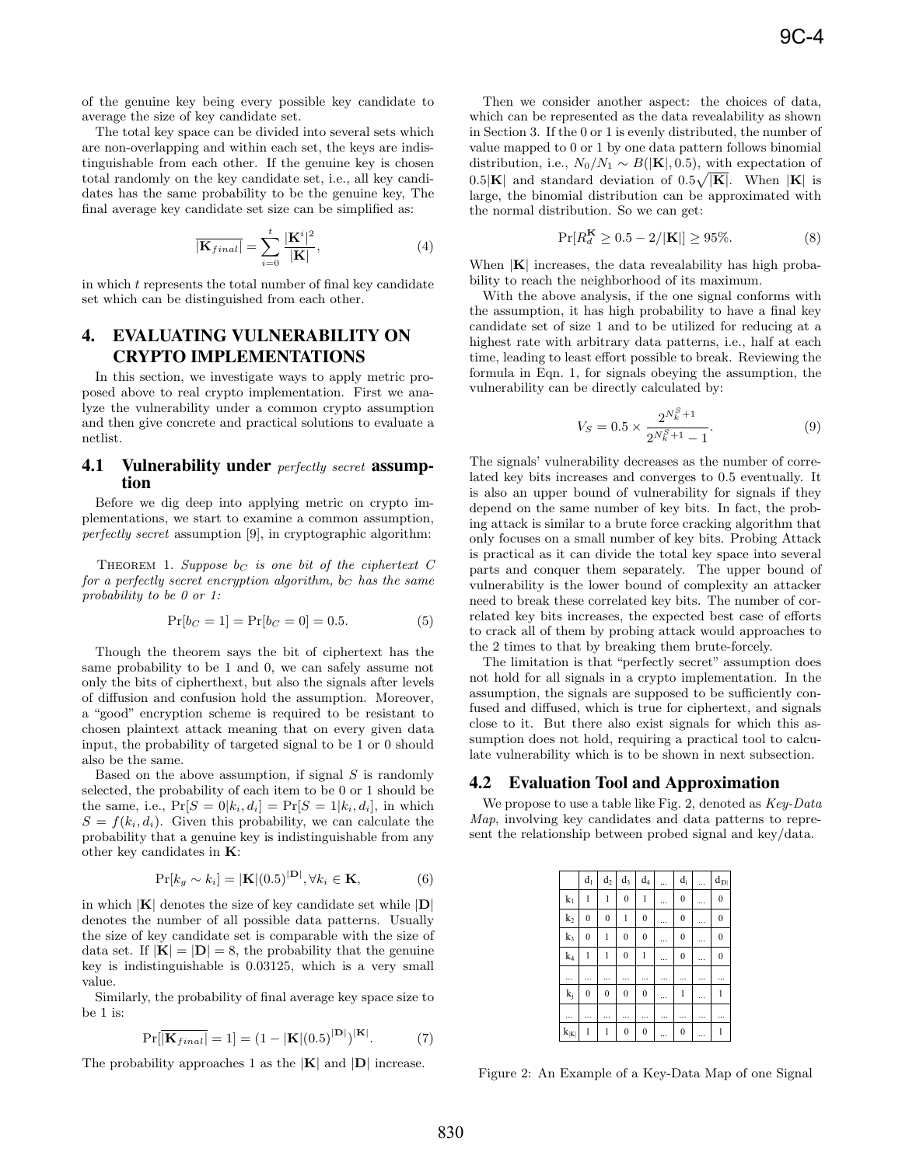of the genuine key being every possible key candidate to average the size of key candidate set.

The total key space can be divided into several sets which are non-overlapping and within each set, the keys are indistinguishable from each other. If the genuine key is chosen total randomly on the key candidate set, i.e., all key candidates has the same probability to be the genuine key, The final average key candidate set size can be simplified as:

$$
\overline{|\mathbf{K}_{final}|} = \sum_{i=0}^{t} \frac{|\mathbf{K}^{i}|^{2}}{|\mathbf{K}|},
$$
\n(4)

in which t represents the total number of final key candidate set which can be distinguished from each other.

# 4. EVALUATING VULNERABILITY ON CRYPTO IMPLEMENTATIONS

In this section, we investigate ways to apply metric proposed above to real crypto implementation. First we analyze the vulnerability under a common crypto assumption and then give concrete and practical solutions to evaluate a netlist.

#### 4.1 Vulnerability under *perfectly secret* assumption

Before we dig deep into applying metric on crypto implementations, we start to examine a common assumption, perfectly secret assumption [9], in cryptographic algorithm:

THEOREM 1. Suppose  $b<sub>C</sub>$  is one bit of the ciphertext C for a perfectly secret encryption algorithm,  $b<sub>C</sub>$  has the same probability to be 0 or 1:

$$
\Pr[b_C = 1] = \Pr[b_C = 0] = 0.5. \tag{5}
$$

Though the theorem says the bit of ciphertext has the same probability to be 1 and 0, we can safely assume not only the bits of cipherthext, but also the signals after levels of diffusion and confusion hold the assumption. Moreover, a "good" encryption scheme is required to be resistant to chosen plaintext attack meaning that on every given data input, the probability of targeted signal to be 1 or 0 should also be the same.

Based on the above assumption, if signal  $S$  is randomly selected, the probability of each item to be 0 or 1 should be the same, i.e.,  $Pr[S = 0|k_i, d_i] = Pr[S = 1|k_i, d_i]$ , in which  $S = f(k_i, d_i)$ . Given this probability, we can calculate the probability that a genuine key is indistinguishable from any other key candidates in **K**:

$$
Pr[k_g \sim k_i] = |\mathbf{K}|(0.5)^{|\mathbf{D}|}, \forall k_i \in \mathbf{K},
$$
\n(6)

in which <sup>|</sup>**K**<sup>|</sup> denotes the size of key candidate set while <sup>|</sup>**D**<sup>|</sup> denotes the number of all possible data patterns. Usually the size of key candidate set is comparable with the size of data set. If  $|\mathbf{K}| = |\mathbf{D}| = 8$ , the probability that the genuine key is indistinguishable is 0.03125, which is a very small value.

Similarly, the probability of final average key space size to be 1 is:

$$
\Pr[\overline{\left|\mathbf{K}_{final}\right|} = 1] = (1 - \left|\mathbf{K}\right| (0.5)^{|\mathbf{D}|})^{|\mathbf{K}|}.
$$
 (7)

The probability approaches 1 as the <sup>|</sup>**K**<sup>|</sup> and <sup>|</sup>**D**<sup>|</sup> increase.

Then we consider another aspect: the choices of data, which can be represented as the data revealability as shown in Section 3. If the 0 or 1 is evenly distributed, the number of value mapped to 0 or 1 by one data pattern follows binomial distribution, i.e.,  $N_0/N_1 \sim B(|\mathbf{K}|, 0.5)$ , with expectation of  $0.5|\mathbf{K}|$  and standard deviation of  $0.5\sqrt{|\mathbf{K}|}$ . When  $|\mathbf{K}|$  is large the binomial distribution can be approximated with large, the binomial distribution can be approximated with the normal distribution. So we can get:

$$
\Pr[R_d^K \ge 0.5 - 2/|\mathbf{K}|] \ge 95\%.
$$
 (8)

When  $|\mathbf{K}|$  increases, the data revealability has high probability to reach the neighborhood of its maximum.

With the above analysis, if the one signal conforms with the assumption, it has high probability to have a final key candidate set of size 1 and to be utilized for reducing at a highest rate with arbitrary data patterns, i.e., half at each time, leading to least effort possible to break. Reviewing the formula in Eqn. 1, for signals obeying the assumption, the vulnerability can be directly calculated by:

$$
V_S = 0.5 \times \frac{2^{N_k^S + 1}}{2^{N_k^S + 1} - 1}.\tag{9}
$$

The signals' vulnerability decreases as the number of correlated key bits increases and converges to 0.5 eventually. It is also an upper bound of vulnerability for signals if they depend on the same number of key bits. In fact, the probing attack is similar to a brute force cracking algorithm that only focuses on a small number of key bits. Probing Attack is practical as it can divide the total key space into several parts and conquer them separately. The upper bound of vulnerability is the lower bound of complexity an attacker need to break these correlated key bits. The number of correlated key bits increases, the expected best case of efforts to crack all of them by probing attack would approaches to the 2 times to that by breaking them brute-forcely.

The limitation is that "perfectly secret" assumption does not hold for all signals in a crypto implementation. In the assumption, the signals are supposed to be sufficiently confused and diffused, which is true for ciphertext, and signals close to it. But there also exist signals for which this assumption does not hold, requiring a practical tool to calculate vulnerability which is to be shown in next subsection.

#### 4.2 Evaluation Tool and Approximation

We propose to use a table like Fig. 2, denoted as  $Key-Data$ Map, involving key candidates and data patterns to represent the relationship between probed signal and key/data.

|                | d <sub>1</sub> | $\mathbf{d}_2$ | $\mathbf{d}_3$ | $d_4$          | $\ddotsc$ | $d_i$            | <br>$d_{ D }$      |
|----------------|----------------|----------------|----------------|----------------|-----------|------------------|--------------------|
| $k_1$          | $\mathbf{1}$   | 1              | $\mathbf{0}$   | 1              | .         | $\mathbf{0}$     | <br>$\bf{0}$       |
| $\mathbf{k}_2$ | $\overline{0}$ | $\overline{0}$ | 1              | $\mathbf{0}$   |           | $\overline{0}$   | $\mathbf{0}$       |
| $k_3$          | $\overline{0}$ | 1              | $\overline{0}$ | $\overline{0}$ | $\ddotsc$ | $\overline{0}$   | <br>$\overline{0}$ |
| k <sub>4</sub> | 1              | 1              | $\mathbf{0}$   | 1              |           | $\mathbf{0}$     | <br>$\mathbf{0}$   |
|                |                |                |                |                |           |                  |                    |
| $k_j$          | $\overline{0}$ | $\overline{0}$ | $\overline{0}$ | $\overline{0}$ |           | 1                | <br>1              |
|                |                |                |                |                |           |                  |                    |
| $k_{ K }$      |                | 1              | $\bf{0}$       | $\bf{0}$       |           | $\boldsymbol{0}$ |                    |

Figure 2: An Example of a Key-Data Map of one Signal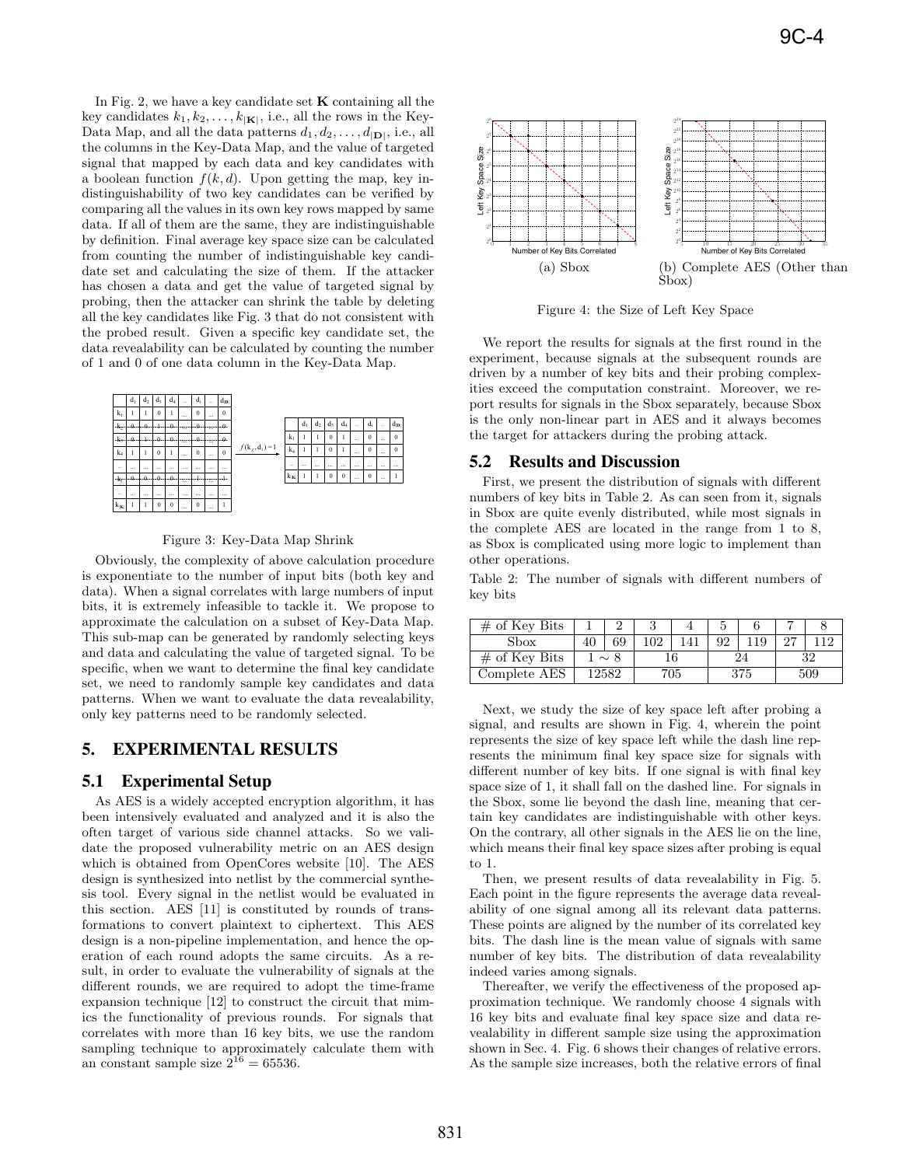In Fig. 2, we have a key candidate set **K** containing all the key candidates  $k_1, k_2, \ldots, k_{|\mathbf{K}|}$ , i.e., all the rows in the Key-Data Map, and all the data patterns  $d_1, d_2, \ldots, d_{|\mathbf{D}|}$ , i.e., all the columns in the Key-Data Map, and the value of targeted signal that mapped by each data and key candidates with a boolean function  $f(k, d)$ . Upon getting the map, key indistinguishability of two key candidates can be verified by comparing all the values in its own key rows mapped by same data. If all of them are the same, they are indistinguishable by definition. Final average key space size can be calculated from counting the number of indistinguishable key candidate set and calculating the size of them. If the attacker has chosen a data and get the value of targeted signal by probing, then the attacker can shrink the table by deleting all the key candidates like Fig. 3 that do not consistent with the probed result. Given a specific key candidate set, the data revealability can be calculated by counting the number of 1 and 0 of one data column in the Key-Data Map.



Figure 3: Key-Data Map Shrink

Obviously, the complexity of above calculation procedure is exponentiate to the number of input bits (both key and data). When a signal correlates with large numbers of input bits, it is extremely infeasible to tackle it. We propose to approximate the calculation on a subset of Key-Data Map. This sub-map can be generated by randomly selecting keys and data and calculating the value of targeted signal. To be specific, when we want to determine the final key candidate set, we need to randomly sample key candidates and data patterns. When we want to evaluate the data revealability, only key patterns need to be randomly selected.

# 5. EXPERIMENTAL RESULTS

#### 5.1 Experimental Setup

As AES is a widely accepted encryption algorithm, it has been intensively evaluated and analyzed and it is also the often target of various side channel attacks. So we validate the proposed vulnerability metric on an AES design which is obtained from OpenCores website [10]. The AES design is synthesized into netlist by the commercial synthesis tool. Every signal in the netlist would be evaluated in this section. AES [11] is constituted by rounds of transformations to convert plaintext to ciphertext. This AES design is a non-pipeline implementation, and hence the operation of each round adopts the same circuits. As a result, in order to evaluate the vulnerability of signals at the different rounds, we are required to adopt the time-frame expansion technique [12] to construct the circuit that mimics the functionality of previous rounds. For signals that correlates with more than 16 key bits, we use the random sampling technique to approximately calculate them with an constant sample size  $2^{16} = 65536$ .



Figure 4: the Size of Left Key Space

We report the results for signals at the first round in the experiment, because signals at the subsequent rounds are driven by a number of key bits and their probing complexities exceed the computation constraint. Moreover, we report results for signals in the Sbox separately, because Sbox is the only non-linear part in AES and it always becomes the target for attackers during the probing attack.

#### 5.2 Results and Discussion

First, we present the distribution of signals with different numbers of key bits in Table 2. As can seen from it, signals in Sbox are quite evenly distributed, while most signals in the complete AES are located in the range from 1 to 8, as Sbox is complicated using more logic to implement than other operations.

Table 2: The number of signals with different numbers of key bits

| $#$ of Key Bits |          |    |     |  |     |    |     |    |
|-----------------|----------|----|-----|--|-----|----|-----|----|
| Sbox            | 40       | 69 | 102 |  | റാ  | 19 |     | 19 |
| $#$ of Key Bits | $\sim 8$ |    |     |  |     |    | 32  |    |
| Complete AES    | ' 2582   |    | 705 |  | 375 |    | 509 |    |

Next, we study the size of key space left after probing a signal, and results are shown in Fig. 4, wherein the point represents the size of key space left while the dash line represents the minimum final key space size for signals with different number of key bits. If one signal is with final key space size of 1, it shall fall on the dashed line. For signals in the Sbox, some lie beyond the dash line, meaning that certain key candidates are indistinguishable with other keys. On the contrary, all other signals in the AES lie on the line, which means their final key space sizes after probing is equal to 1.

Then, we present results of data revealability in Fig. 5. Each point in the figure represents the average data revealability of one signal among all its relevant data patterns. These points are aligned by the number of its correlated key bits. The dash line is the mean value of signals with same number of key bits. The distribution of data revealability indeed varies among signals.

Thereafter, we verify the effectiveness of the proposed approximation technique. We randomly choose 4 signals with 16 key bits and evaluate final key space size and data revealability in different sample size using the approximation shown in Sec. 4. Fig. 6 shows their changes of relative errors. As the sample size increases, both the relative errors of final